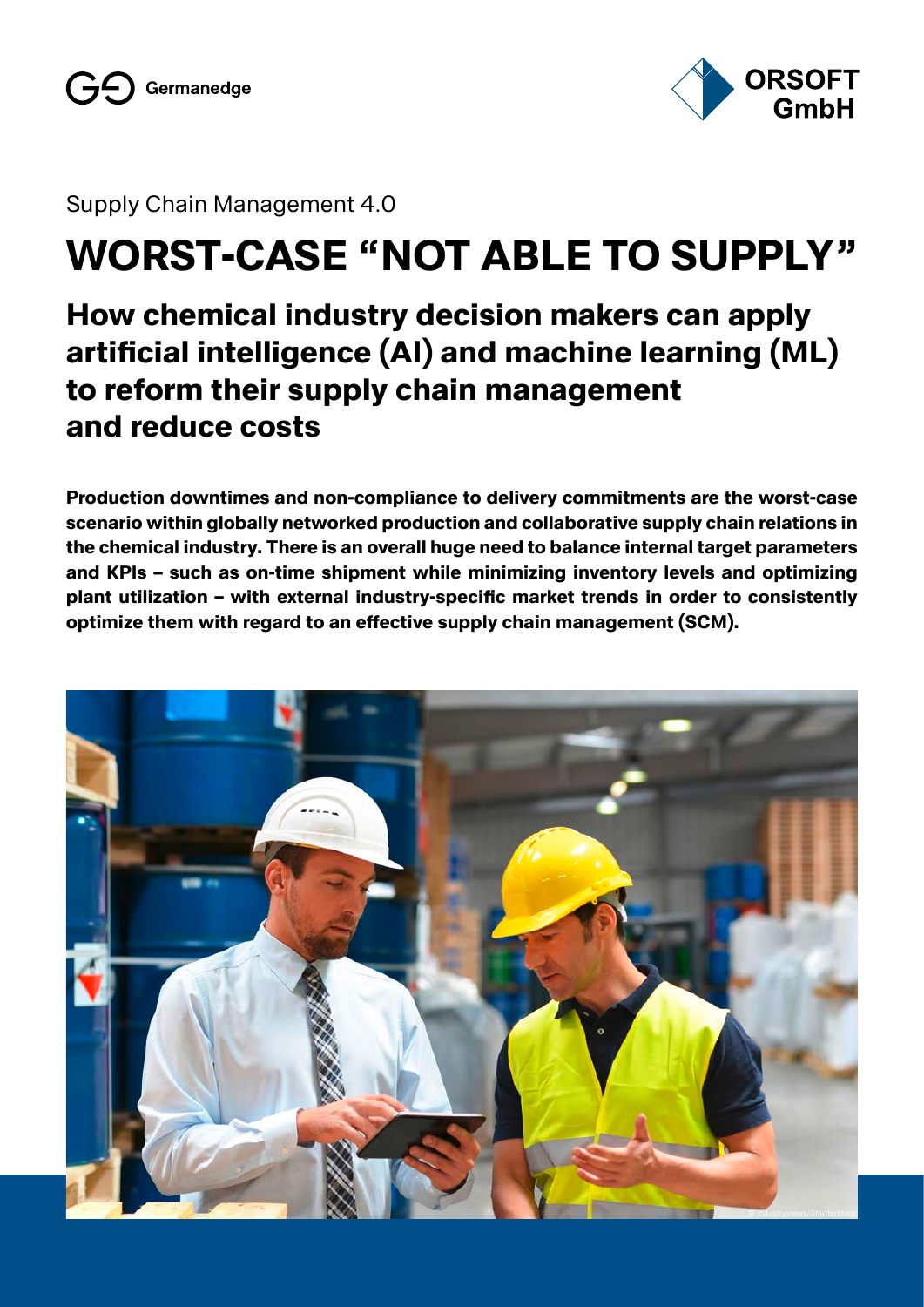



Supply Chain Management 4.0

# **WORST-CASE "NOT ABLE TO SUPPLY"**

## **How chemical industry decision makers can apply artificial intelligence (AI) and machine learning (ML) to reform their supply chain management and reduce costs**

**Production downtimes and non-compliance to delivery commitments are the worst-case scenario within globally networked production and collaborative supply chain relations in the chemical industry. There is an overall huge need to balance internal target parameters and KPIs – such as on-time shipment while minimizing inventory levels and optimizing plant utilization – with external industry-specific market trends in order to consistently optimize them with regard to an effective supply chain management (SCM).**

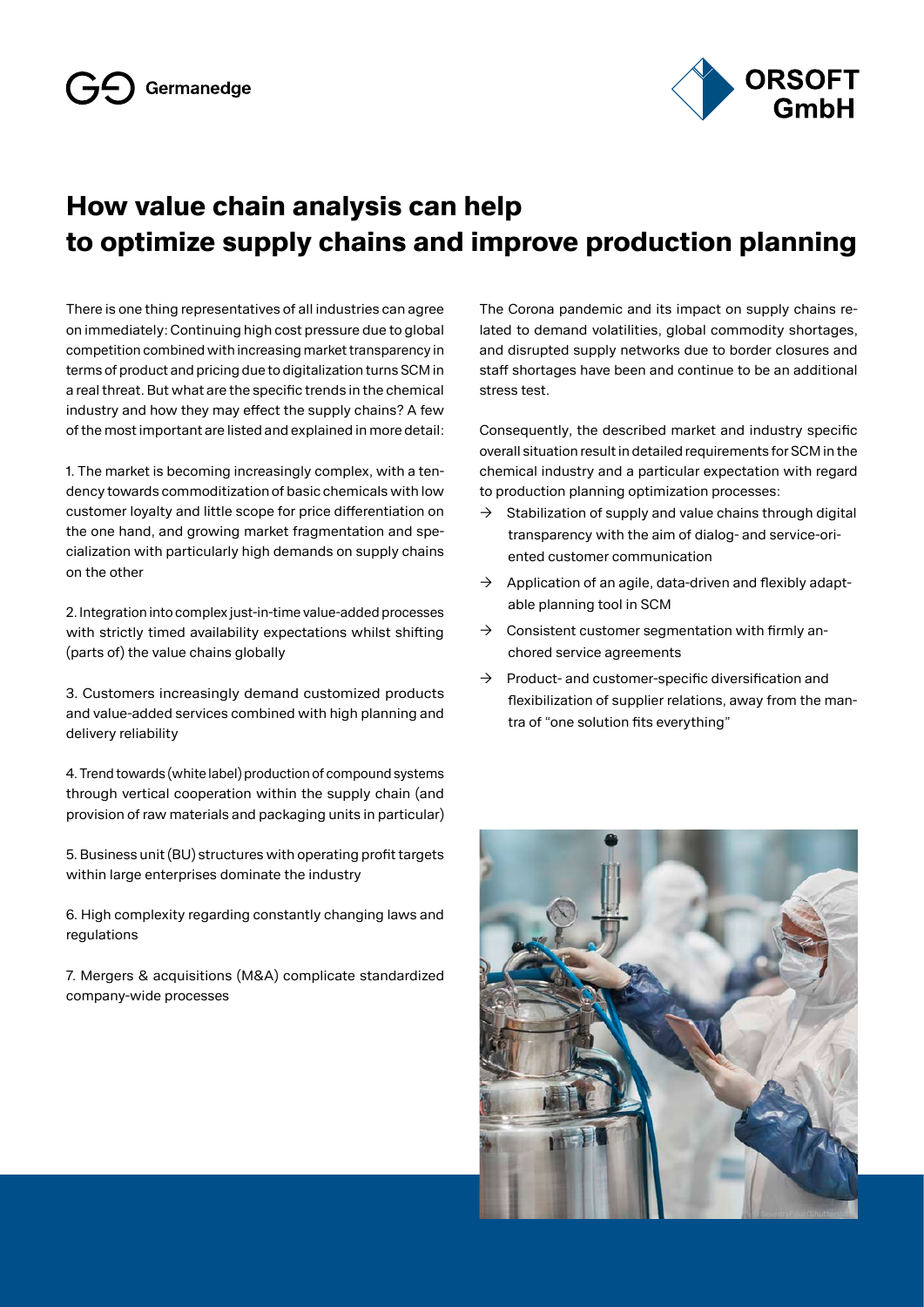

### **How value chain analysis can help to optimize supply chains and improve production planning**

There is one thing representatives of all industries can agree on immediately: Continuing high cost pressure due to global competition combined with increasing market transparency in terms of product and pricing due to digitalization turns SCM in a real threat. But what are the specific trends in the chemical industry and how they may effect the supply chains? A few of the most important are listed and explained in more detail:

1. The market is becoming increasingly complex, with a tendency towards commoditization of basic chemicals with low customer loyalty and little scope for price differentiation on the one hand, and growing market fragmentation and specialization with particularly high demands on supply chains on the other

2. Integration into complex just-in-time value-added processes with strictly timed availability expectations whilst shifting (parts of) the value chains globally

3. Customers increasingly demand customized products and value-added services combined with high planning and delivery reliability

4. Trend towards (white label) production of compound systems through vertical cooperation within the supply chain (and provision of raw materials and packaging units in particular)

5. Business unit (BU) structures with operating profit targets within large enterprises dominate the industry

6. High complexity regarding constantly changing laws and regulations

7. Mergers & acquisitions (M&A) complicate standardized company-wide processes

The Corona pandemic and its impact on supply chains related to demand volatilities, global commodity shortages, and disrupted supply networks due to border closures and staff shortages have been and continue to be an additional stress test.

Consequently, the described market and industry specific overall situation result in detailed requirements for SCM in the chemical industry and a particular expectation with regard to production planning optimization processes:

- $\rightarrow$  Stabilization of supply and value chains through digital transparency with the aim of dialog- and service-oriented customer communication
- $\rightarrow$  Application of an agile, data-driven and flexibly adaptable planning tool in SCM
- $\rightarrow$  Consistent customer segmentation with firmly anchored service agreements
- $\rightarrow$  Product- and customer-specific diversification and flexibilization of supplier relations, away from the mantra of "one solution fits everything"

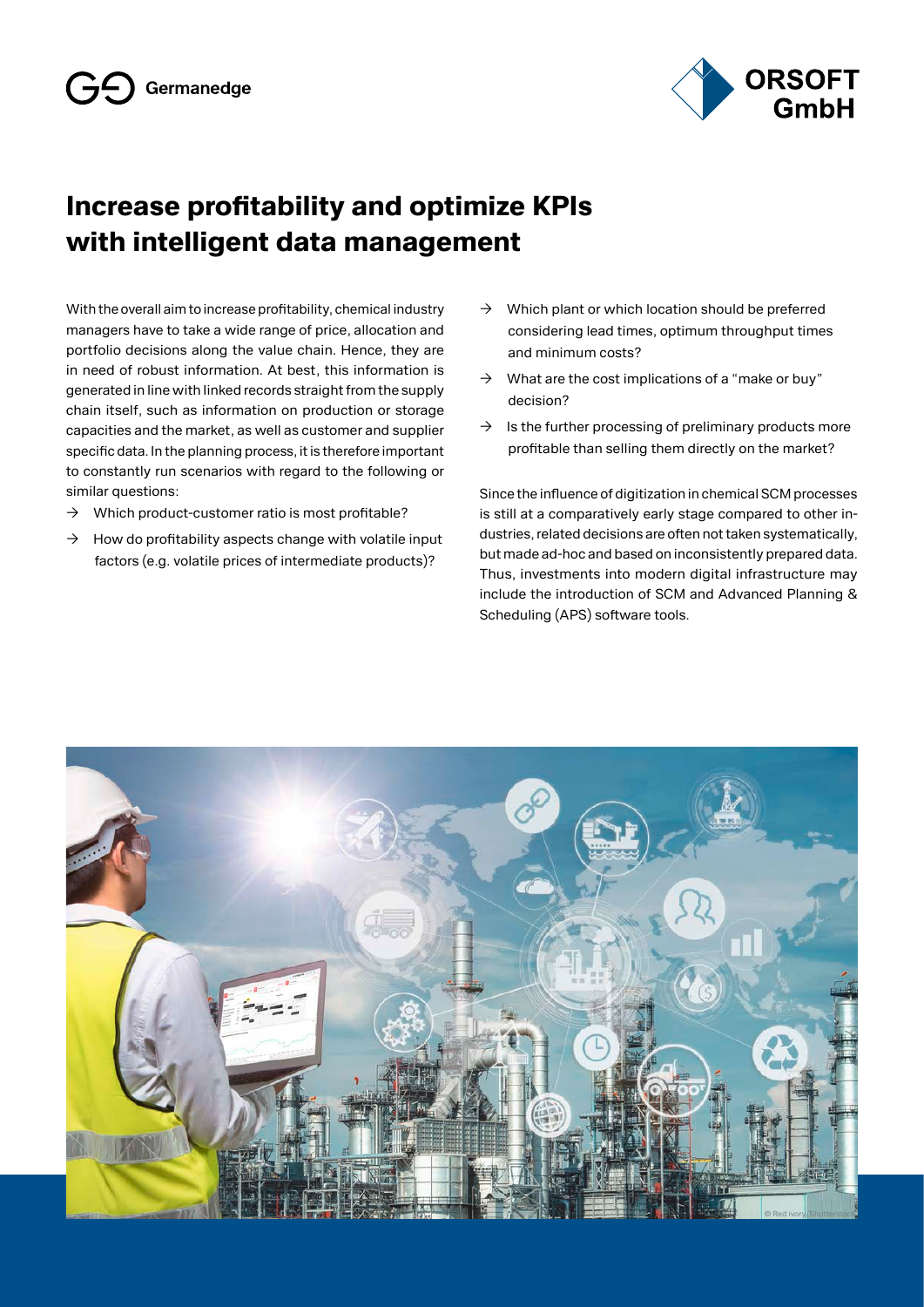

### **Increase profitability and optimize KPIs with intelligent data management**

With the overall aim to increase profitability, chemical industry managers have to take a wide range of price, allocation and portfolio decisions along the value chain. Hence, they are in need of robust information. At best, this information is generated in line with linked records straight from the supply chain itself, such as information on production or storage capacities and the market, as well as customer and supplier specific data. In the planning process, it is therefore important to constantly run scenarios with regard to the following or similar questions:

- $\rightarrow$  Which product-customer ratio is most profitable?
- $\rightarrow$  How do profitability aspects change with volatile input factors (e.g. volatile prices of intermediate products)?
- $\rightarrow$  Which plant or which location should be preferred considering lead times, optimum throughput times and minimum costs?
- $\rightarrow$  What are the cost implications of a "make or buy" decision?
- $\rightarrow$  Is the further processing of preliminary products more profitable than selling them directly on the market?

Since the influence of digitization in chemical SCM processes is still at a comparatively early stage compared to other industries, related decisions are often not taken systematically, but made ad-hoc and based on inconsistently prepared data. Thus, investments into modern digital infrastructure may include the introduction of SCM and Advanced Planning & Scheduling (APS) software tools.

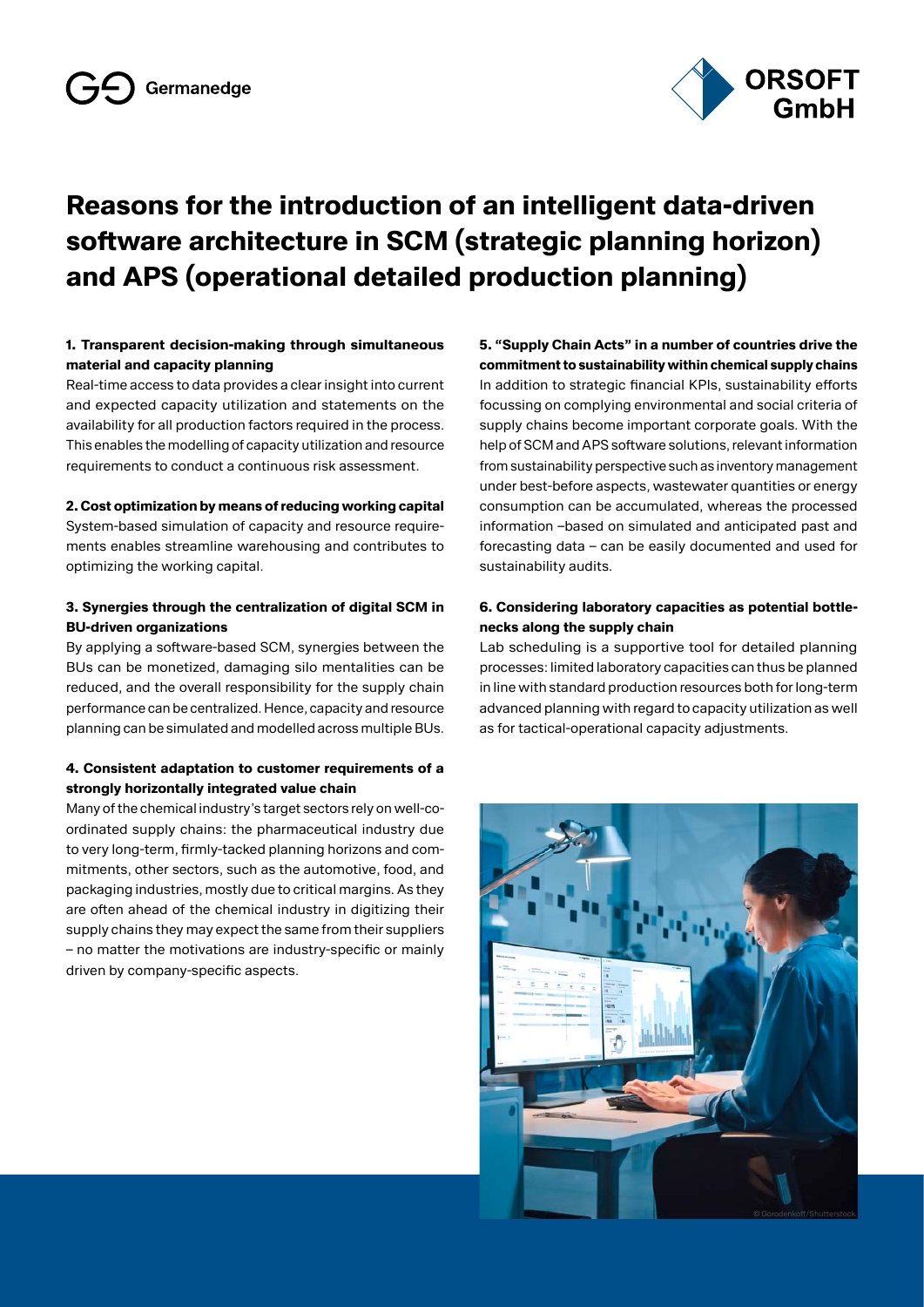

### **Reasons for the introduction of an intelligent data-driven software architecture in SCM (strategic planning horizon) and APS (operational detailed production planning)**

### **1. Transparent decision-making through simultaneous material and capacity planning**

Real-time access to data provides a clear insight into current and expected capacity utilization and statements on the availability for all production factors required in the process. This enables the modelling of capacity utilization and resource requirements to conduct a continuous risk assessment.

#### **2. Cost optimization by means of reducing working capital**

System-based simulation of capacity and resource requirements enables streamline warehousing and contributes to optimizing the working capital.

#### **3. Synergies through the centralization of digital SCM in BU-driven organizations**

By applying a software-based SCM, synergies between the BUs can be monetized, damaging silo mentalities can be reduced, and the overall responsibility for the supply chain performance can be centralized. Hence, capacity and resource planning can be simulated and modelled across multiple BUs.

### **4. Consistent adaptation to customer requirements of a strongly horizontally integrated value chain**

Many of the chemical industry's target sectors rely on well-coordinated supply chains: the pharmaceutical industry due to very long-term, firmly-tacked planning horizons and commitments, other sectors, such as the automotive, food, and packaging industries, mostly due to critical margins. As they are often ahead of the chemical industry in digitizing their supply chains they may expect the same from their suppliers – no matter the motivations are industry-specific or mainly driven by company-specific aspects.

**5. "Supply Chain Acts" in a number of countries drive the commitment to sustainability within chemical supply chains** In addition to strategic financial KPIs, sustainability efforts focussing on complying environmental and social criteria of supply chains become important corporate goals. With the help of SCM and APS software solutions, relevant information from sustainability perspective such as inventory management under best-before aspects, wastewater quantities or energy consumption can be accumulated, whereas the processed information –based on simulated and anticipated past and forecasting data – can be easily documented and used for sustainability audits.

#### **6. Considering laboratory capacities as potential bottlenecks along the supply chain**

Lab scheduling is a supportive tool for detailed planning processes: limited laboratory capacities can thus be planned in line with standard production resources both for long-term advanced planning with regard to capacity utilization as well as for tactical-operational capacity adjustments.

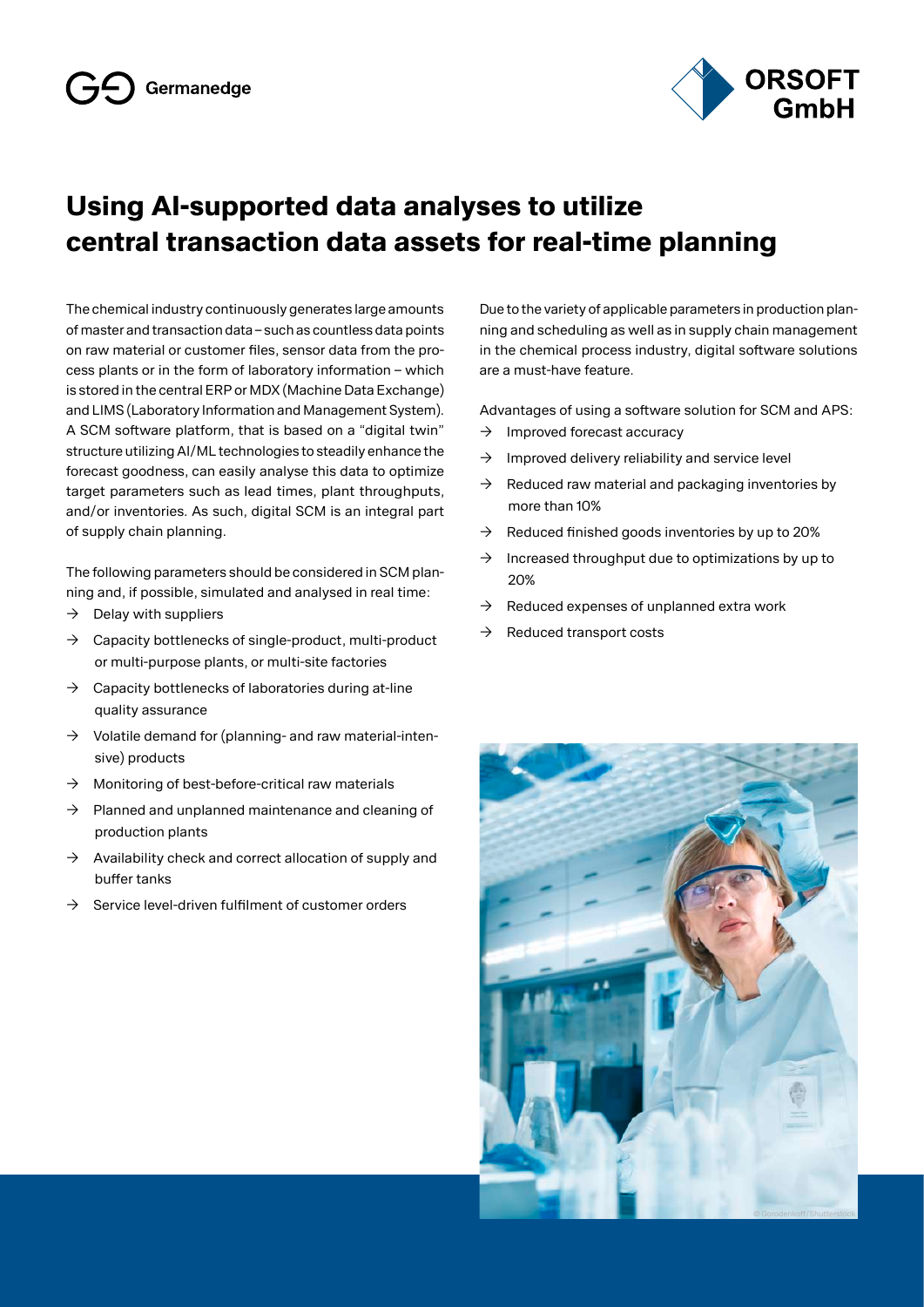

### **Using AI-supported data analyses to utilize central transaction data assets for real-time planning**

The chemical industry continuously generates large amounts of master and transaction data – such as countless data points on raw material or customer files, sensor data from the process plants or in the form of laboratory information – which is stored in the central ERP or MDX (Machine Data Exchange) and LIMS (Laboratory Information and Management System). A SCM software platform, that is based on a "digital twin" structure utilizing AI/ML technologies to steadily enhance the forecast goodness, can easily analyse this data to optimize target parameters such as lead times, plant throughputs, and/or inventories. As such, digital SCM is an integral part of supply chain planning.

The following parameters should be considered in SCM planning and, if possible, simulated and analysed in real time:

- $\rightarrow$  Delay with suppliers
- $\rightarrow$  Capacity bottlenecks of single-product, multi-product or multi-purpose plants, or multi-site factories
- $\rightarrow$  Capacity bottlenecks of laboratories during at-line quality assurance
- $\rightarrow$  Volatile demand for (planning- and raw material-intensive) products
- $\rightarrow$  Monitoring of best-before-critical raw materials
- $\rightarrow$  Planned and unplanned maintenance and cleaning of production plants
- $\rightarrow$  Availability check and correct allocation of supply and buffer tanks
- $\rightarrow$  Service level-driven fulfilment of customer orders

Due to the variety of applicable parameters in production planning and scheduling as well as in supply chain management in the chemical process industry, digital software solutions are a must-have feature.

Advantages of using a software solution for SCM and APS:

- $\rightarrow$  Improved forecast accuracy
- $\rightarrow$  Improved delivery reliability and service level
- $\rightarrow$  Reduced raw material and packaging inventories by more than 10%
- $\rightarrow$  Reduced finished goods inventories by up to 20%
- $\rightarrow$  Increased throughput due to optimizations by up to 20%
- $\rightarrow$  Reduced expenses of unplanned extra work
- $\rightarrow$  Reduced transport costs